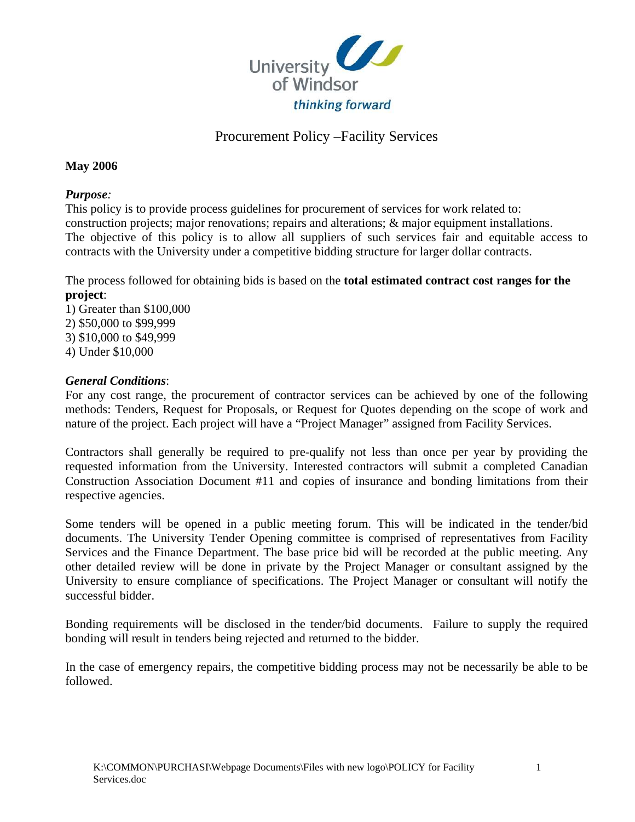

## Procurement Policy –Facility Services

#### **May 2006**

#### *Purpose:*

This policy is to provide process guidelines for procurement of services for work related to: construction projects; major renovations; repairs and alterations; & major equipment installations. The objective of this policy is to allow all suppliers of such services fair and equitable access to contracts with the University under a competitive bidding structure for larger dollar contracts.

The process followed for obtaining bids is based on the **total estimated contract cost ranges for the project**:

1) Greater than \$100,000 2) \$50,000 to \$99,999 3) \$10,000 to \$49,999 4) Under \$10,000

#### *General Conditions*:

For any cost range, the procurement of contractor services can be achieved by one of the following methods: Tenders, Request for Proposals, or Request for Quotes depending on the scope of work and nature of the project. Each project will have a "Project Manager" assigned from Facility Services.

Contractors shall generally be required to pre-qualify not less than once per year by providing the requested information from the University. Interested contractors will submit a completed Canadian Construction Association Document #11 and copies of insurance and bonding limitations from their respective agencies.

Some tenders will be opened in a public meeting forum. This will be indicated in the tender/bid documents. The University Tender Opening committee is comprised of representatives from Facility Services and the Finance Department. The base price bid will be recorded at the public meeting. Any other detailed review will be done in private by the Project Manager or consultant assigned by the University to ensure compliance of specifications. The Project Manager or consultant will notify the successful bidder.

Bonding requirements will be disclosed in the tender/bid documents. Failure to supply the required bonding will result in tenders being rejected and returned to the bidder.

In the case of emergency repairs, the competitive bidding process may not be necessarily be able to be followed.